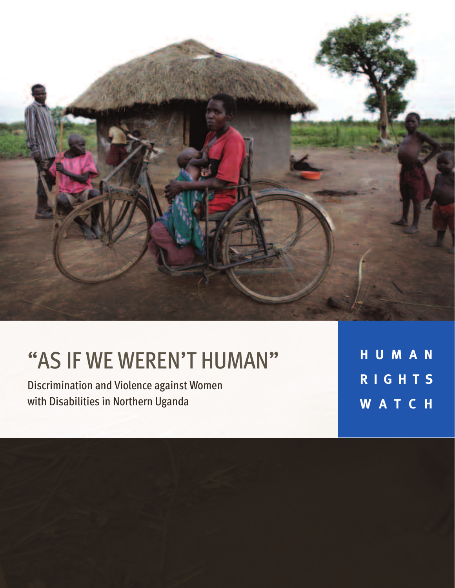

# "AS IF WE WEREN'T HUMAN"

Discrimination and Violence against Women with Disabilities in Northern Uganda

**H U M A N R I G H T S W A T C H**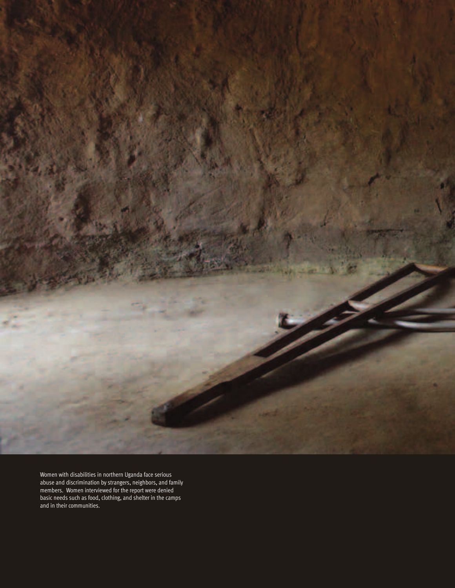

Women with disabilities in northern Uganda face serious abuse and discrimination by strangers, neighbors, and family members. Women interviewed for the report were denied basic needs such as food, clothing, and shelter in the camps and in their communities.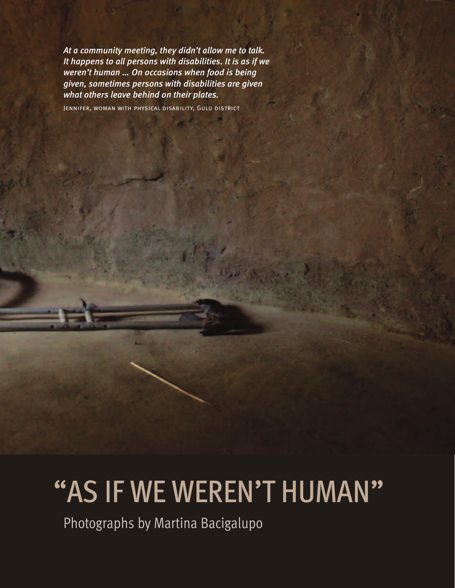*At a community meeting, they didn't allow me to talk. It happens to all persons with disabilities. It is as if we weren't human … On occasions when food is being given, sometimes persons with disabilities are given what others leave behind on their plates.* Jennifer, woman with physical disability, Gulu district

"AS IF WE WEREN'T HUMAN"

Photographs by Martina Bacigalupo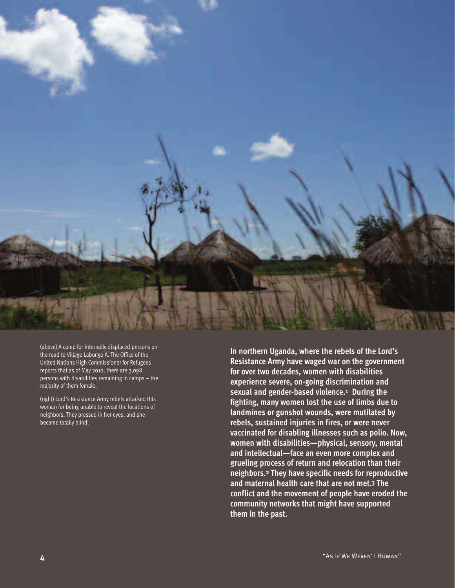

(above) A camp for internally displaced persons on the road to Village Labongo A. The Office of the United Nations High Commissioner for Refugees reports that as of May 2010, there are 3,098 persons with disabilities remaining in camps – the majority of them female.

(right) Lord's Resistance Army rebels attacked this woman for being unable to reveal the locations of neighbors. They pressed in her eyes, and she became totally blind.

**In northern Uganda, where the rebels of the Lord's Resistance Army have waged war on the government for over two decades, women with disabilities experience severe, on-going discrimination and sexual and gender-based violence.1 During the fighting, many women lost the use of limbs due to landmines or gunshot wounds, were mutilated by rebels, sustained injuries in fires, or were never vaccinated for disabling illnesses such as polio. Now, women with disabilities—physical, sensory, mental and intellectual—face an even more complex and grueling process of return and relocation than their neighbors.2 They have specific needs for reproductive and maternal health care that are not met.3 The conflict and the movement of people have eroded the community networks that might have supported them in the past.**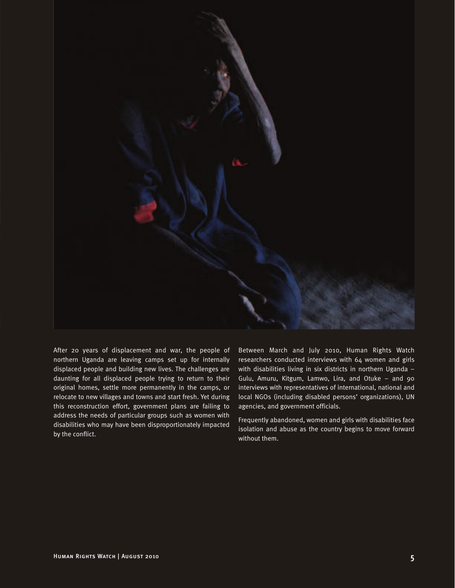

After 20 years of displacement and war, the people of northern Uganda are leaving camps set up for internally displaced people and building new lives. The challenges are daunting for all displaced people trying to return to their original homes, settle more permanently in the camps, or relocate to new villages and towns and start fresh. Yet during this reconstruction effort, government plans are failing to address the needs of particular groups such as women with disabilities who may have been disproportionately impacted by the conflict.

Between March and July 2010, Human Rights Watch researchers conducted interviews with 64 women and girls with disabilities living in six districts in northern Uganda -Gulu, Amuru, Kitgum, Lamwo, Lira, and Otuke – and 90 interviews with representatives of international, national and local NGOs (including disabled persons' organizations), UN agencies, and government officials.

Frequently abandoned, women and girls with disabilities face isolation and abuse as the country begins to move forward without them.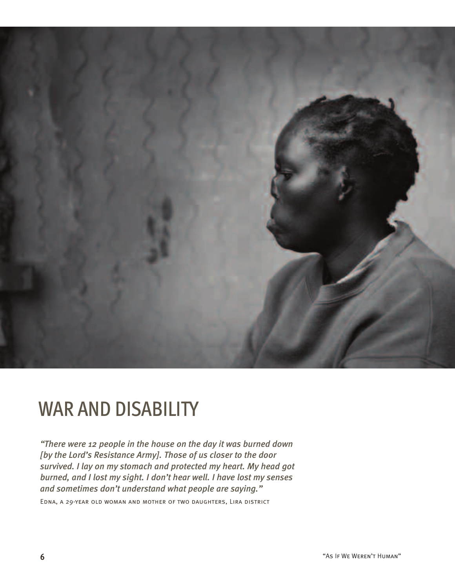

### WAR AND DISABILITY

*"There were 12 people in the house on the day it was burned down [by the Lord's Resistance Army]. Those of us closer to the door survived. I lay on my stomach and protected my heart. My head got burned, and I lost my sight. I don't hear well. I have lost my senses and sometimes don't understand what people are saying."*

Edna, a 29-year old woman and mother of two daughters, Lira district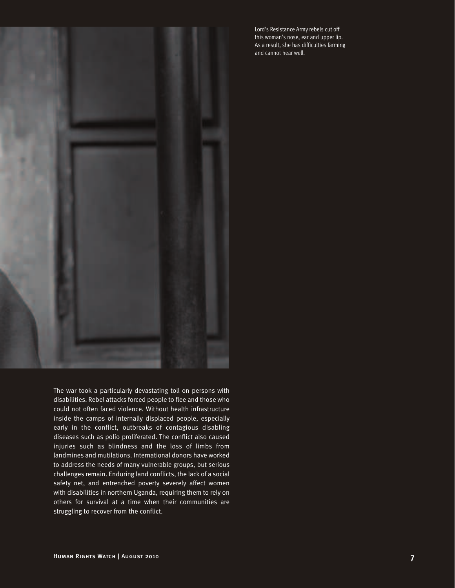

The war took a particularly devastating toll on persons with disabilities. Rebel attacks forced people to flee and those who could not often faced violence. Without health infrastructure inside the camps of internally displaced people, especially early in the conflict, outbreaks of contagious disabling diseases such as polio proliferated. The conflict also caused injuries such as blindness and the loss of limbs from landmines and mutilations. International donors have worked to address the needs of many vulnerable groups, but serious challenges remain. Enduring land conflicts, the lack of a social safety net, and entrenched poverty severely affect women with disabilities in northern Uganda, requiring them to rely on others for survival at a time when their communities are struggling to recover from the conflict.

Lord's Resistance Army rebels cut off this woman's nose, ear and upper lip. As a result, she has difficulties farming and cannot hear well.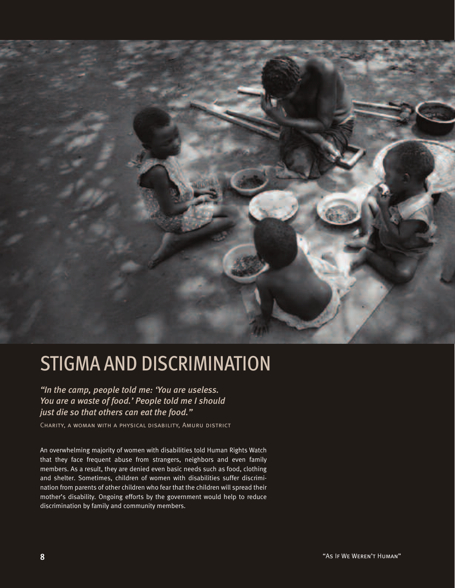

## STIGMA AND DISCRIMINATION

*"In the camp, people told me: 'You are useless. You are a waste of food.' People told me I should just die so that others can eat the food."*

Charity, a woman with a physical disability, Amuru district

An overwhelming majority of women with disabilities told Human Rights Watch that they face frequent abuse from strangers, neighbors and even family members. As a result, they are denied even basic needs such as food, clothing and shelter. Sometimes, children of women with disabilities suffer discrimination from parents of other children who fear that the children will spread their mother's disability. Ongoing efforts by the government would help to reduce discrimination by family and community members.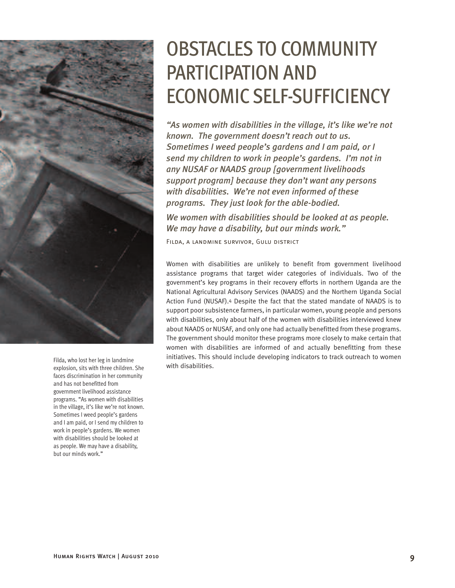

Filda, who lost her leg in landmine <br>explosion, sits with three children. She with disabilities. faces discrimination in her community and has not benefitted from government livelihood assistance programs. "As women with disabilities in the village, it's like we're not known. Sometimes I weed people's gardens and I am paid, or I send my children to work in people's gardens. We women with disabilities should be looked at as people. We may have a disability, but our minds work."

## OBSTACLES TO COMMUNITY PARTICIPATION AND ECONOMIC SELF-SUFFICIENCY

*"As women with disabilities in the village, it's like we're not known. The government doesn't reach out to us. Sometimes I weed people's gardens and I am paid, or I send my children to work in people's gardens. I'm not in any NUSAF or NAADS group [government livelihoods support program] because they don't want any persons with disabilities. We're not even informed of these programs. They just look for the able-bodied.*

*We women with disabilities should be looked at as people. We may have a disability, but our minds work."*

Filda, a landmine survivor, Gulu district

Women with disabilities are unlikely to benefit from government livelihood assistance programs that target wider categories of individuals. Two of the government's key programs in their recovery efforts in northern Uganda are the National Agricultural Advisory Services (NAADS) and the Northern Uganda Social Action Fund (NUSAF).4 Despite the fact that the stated mandate of NAADS is to support poor subsistence farmers, in particular women, young people and persons with disabilities, only about half of the women with disabilities interviewed knew about NAADS or NUSAF, and only one had actually benefitted from these programs. The government should monitor these programs more closely to make certain that women with disabilities are informed of and actually benefitting from these initiatives. This should include developing indicators to track outreach to women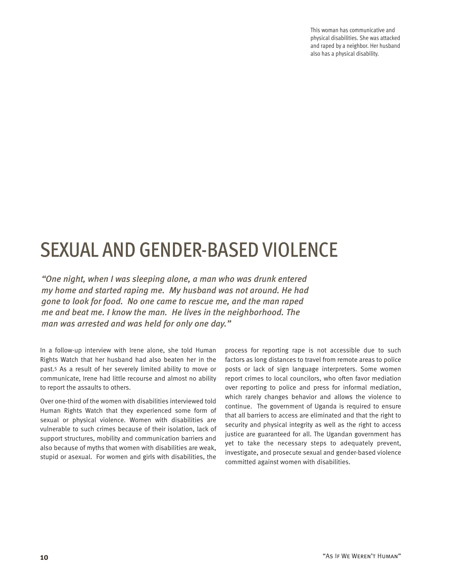This woman has communicative and physical disabilities. She was attacked and raped by a neighbor. Her husband also has a physical disability.

#### SEXUAL AND GENDER-BASED VIOLENCE

*"One night, when I was sleeping alone, a man who was drunk entered my home and started raping me. My husband was not around. He had gone to look for food. No one came to rescue me, and the man raped me and beat me. I know the man. He lives in the neighborhood. The man was arrested and was held for only one day."*

In a follow-up interview with Irene alone, she told Human Rights Watch that her husband had also beaten her in the past.5 As a result of her severely limited ability to move or communicate, Irene had little recourse and almost no ability to report the assaults to others.

Over one-third of the women with disabilities interviewed told Human Rights Watch that they experienced some form of sexual or physical violence. Women with disabilities are vulnerable to such crimes because of their isolation, lack of support structures, mobility and communication barriers and also because of myths that women with disabilities are weak, stupid or asexual. For women and girls with disabilities, the

process for reporting rape is not accessible due to such factors as long distances to travel from remote areas to police posts or lack of sign language interpreters. Some women report crimes to local councilors, who often favor mediation over reporting to police and press for informal mediation, which rarely changes behavior and allows the violence to continue. The government of Uganda is required to ensure that all barriers to access are eliminated and that the right to security and physical integrity as well as the right to access justice are guaranteed for all. The Ugandan government has yet to take the necessary steps to adequately prevent, investigate, and prosecute sexual and gender-based violence committed against women with disabilities.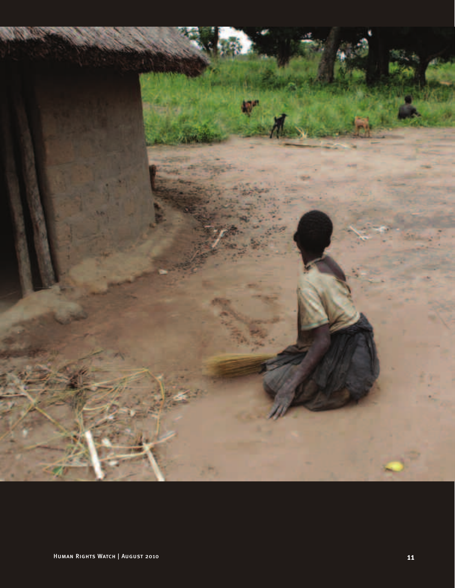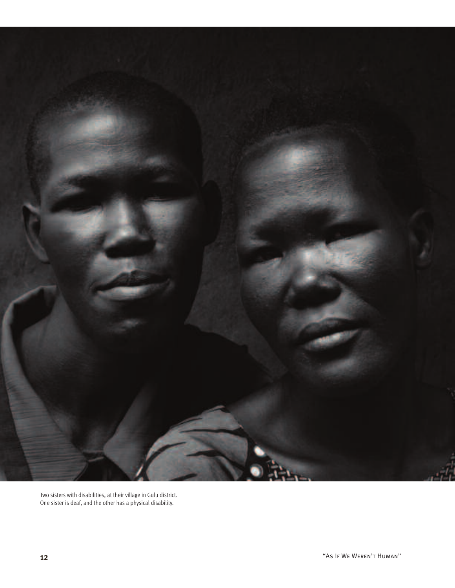

Two sisters with disabilities, at their village in Gulu district. One sister is deaf, and the other has a physical disability.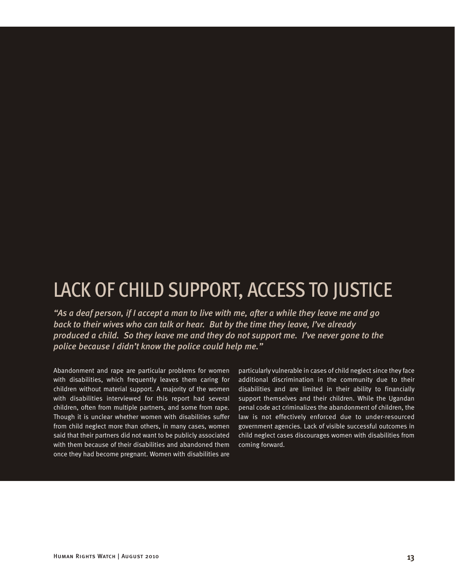### LACK OF CHILD SUPPORT, ACCESS TO JUSTICE

"As a deaf person, if I accept a man to live with me, after a while they leave me and go *back to their wives who can talk or hear. But by the time they leave, I've already produced a child. So they leave me and they do not support me. I've never gone to the police because I didn't know the police could help me."*

Abandonment and rape are particular problems for women with disabilities, which frequently leaves them caring for children without material support. A majority of the women with disabilities interviewed for this report had several children, often from multiple partners, and some from rape. Though it is unclear whether women with disabilities suffer from child neglect more than others, in many cases, women said that their partners did not want to be publicly associated with them because of their disabilities and abandoned them once they had become pregnant. Women with disabilities are

particularly vulnerable in cases of child neglect since they face additional discrimination in the community due to their disabilities and are limited in their ability to financially support themselves and their children. While the Ugandan penal code act criminalizes the abandonment of children, the law is not effectively enforced due to under-resourced government agencies. Lack of visible successful outcomes in child neglect cases discourages women with disabilities from coming forward.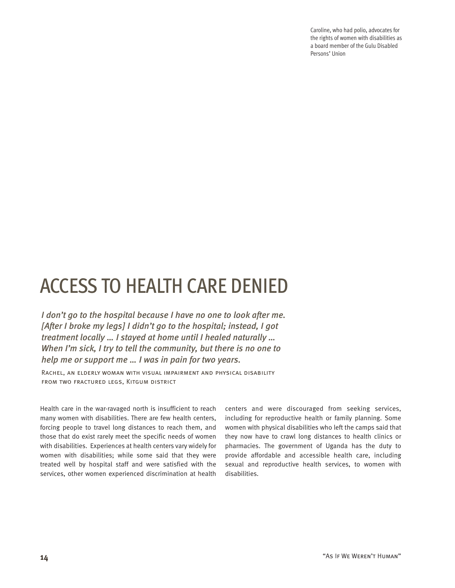Caroline, who had polio, advocates for the rights of women with disabilities as a board member of the Gulu Disabled Persons' Union

#### ACCESS TO HEALTH CARE DENIED

*I don't go to the hospital because I have no one to look after me. [After I broke my legs] I didn't go to the hospital; instead, I got treatment locally … I stayed at home until I healed naturally … When I'm sick, I try to tell the community, but there is no one to help me or support me … I was in pain for two years.*

Rachel, an elderly woman with visual impairment and physical disability from two fractured legs, Kitgum district

Health care in the war-ravaged north is insufficient to reach many women with disabilities. There are few health centers, forcing people to travel long distances to reach them, and those that do exist rarely meet the specific needs of women with disabilities. Experiences at health centers vary widely for women with disabilities; while some said that they were treated well by hospital staff and were satisfied with the services, other women experienced discrimination at health

centers and were discouraged from seeking services, including for reproductive health or family planning. Some women with physical disabilities who left the camps said that they now have to crawl long distances to health clinics or pharmacies. The government of Uganda has the duty to provide affordable and accessible health care, including sexual and reproductive health services, to women with disabilities.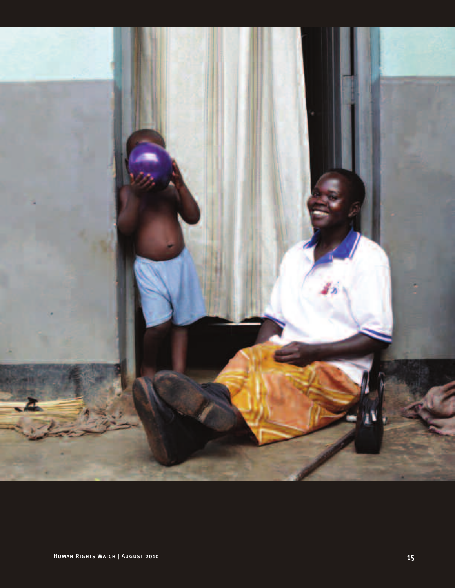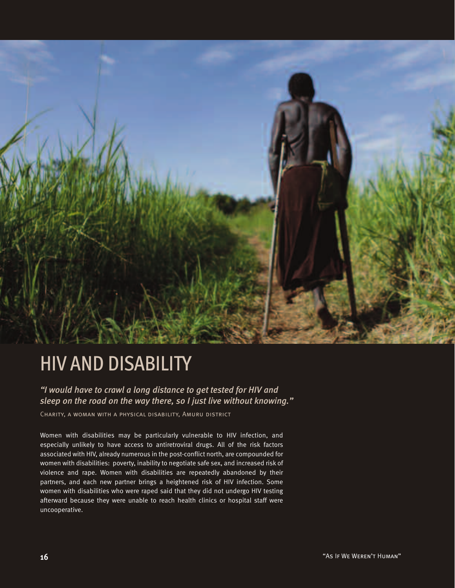

## HIV AND DISABILITY

*"I would have to crawl a long distance to get tested for HIV and sleep on the road on the way there, so I just live without knowing."*

Charity, a woman with a physical disability, Amuru district

Women with disabilities may be particularly vulnerable to HIV infection, and especially unlikely to have access to antiretroviral drugs. All of the risk factors associated with HIV, already numerous in the post-conflict north, are compounded for women with disabilities: poverty, inability to negotiate safe sex, and increased risk of violence and rape. Women with disabilities are repeatedly abandoned by their partners, and each new partner brings a heightened risk of HIV infection. Some women with disabilities who were raped said that they did not undergo HIV testing afterward because they were unable to reach health clinics or hospital staff were uncooperative.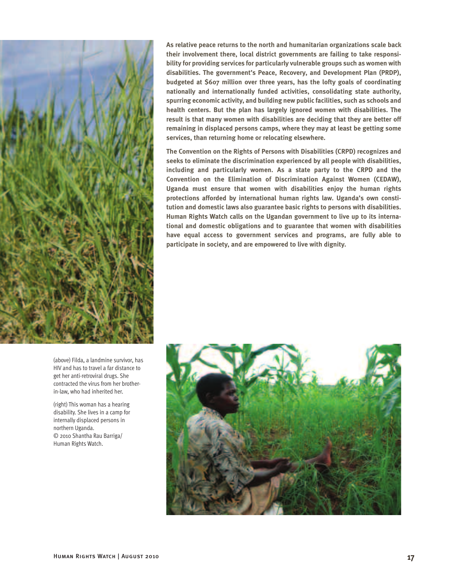

**As relative peace returns to the north and humanitarian organizations scale back their involvement there, local district governments are failing to take responsibility for providing services for particularly vulnerable groups such as women with disabilities. The government's Peace, Recovery, and Development Plan (PRDP), budgeted at \$607 million over three years, has the lofty goals of coordinating nationally and internationally funded activities, consolidating state authority, spurring economic activity, and building new public facilities, such as schools and health centers. But the plan has largely ignored women with disabilities. The result is that many women with disabilities are deciding that they are better off remaining in displaced persons camps, where they may at least be getting some services, than returning home or relocating elsewhere.**

**The Convention on the Rights of Persons with Disabilities (CRPD) recognizes and seeks to eliminate the discrimination experienced by all people with disabilities, including and particularly women. As a state party to the CRPD and the Convention on the Elimination of Discrimination Against Women (CEDAW), Uganda must ensure that women with disabilities enjoy the human rights protections afforded by international human rights law. Uganda's own constitution and domestic laws also guarantee basic rights to persons with disabilities. Human Rights Watch calls on the Ugandan government to live up to its international and domestic obligations and to guarantee that women with disabilities have equal access to government services and programs, are fully able to participate in society, and are empowered to live with dignity.**



(right) This woman has a hearing disability. She lives in a camp for internally displaced persons in northern Uganda. © 2010 Shantha Rau Barriga/ Human Rights Watch.

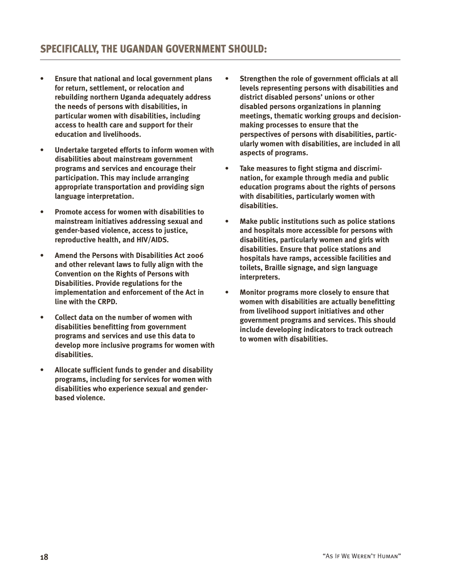- **• Ensure that national and local government plans for return, settlement, or relocation and rebuilding northern Uganda adequately address the needs of persons with disabilities, in particular women with disabilities, including access to health care and support for their education and livelihoods.**
- **• Undertake targeted efforts to inform women with disabilities about mainstream government programs and services and encourage their participation. This may include arranging appropriate transportation and providing sign language interpretation.**
- **• Promote access for women with disabilities to mainstream initiatives addressing sexual and gender-based violence, access to justice, reproductive health, and HIV/AIDS.**
- **• Amend the Persons with Disabilities Act 2006 and other relevant laws to fully align with the Convention on the Rights of Persons with Disabilities. Provide regulations for the implementation and enforcement of the Act in line with the CRPD.**
- **• Collect data on the number of women with disabilities benefitting from government programs and services and use this data to develop more inclusive programs for women with disabilities.**
- **• Allocate sufficient funds to gender and disability programs, including for services for women with disabilities who experience sexual and genderbased violence.**
- **• Strengthen the role of government officials at all levels representing persons with disabilities and district disabled persons' unions or other disabled persons organizations in planning meetings, thematic working groups and decisionmaking processes to ensure that the perspectives of persons with disabilities, particularly women with disabilities, are included in all aspects of programs.**
- **• Take measures to fight stigma and discrimination, for example through media and public education programs about the rights of persons with disabilities, particularly women with disabilities.**
- **• Make public institutions such as police stations and hospitals more accessible for persons with disabilities, particularly women and girls with disabilities. Ensure that police stations and hospitals have ramps, accessible facilities and toilets, Braille signage, and sign language interpreters.**
- **• Monitor programs more closely to ensure that women with disabilities are actually benefitting from livelihood support initiatives and other government programs and services. This should include developing indicators to track outreach to women with disabilities.**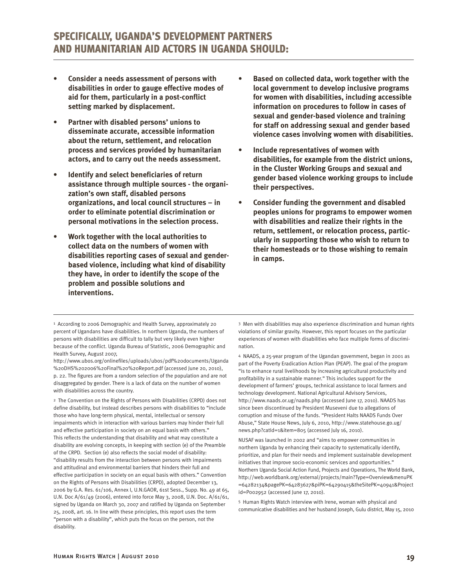- **Consider a needs assessment of persons with disabilities in order to gauge effective modes of aid for them, particularly in a post-conflict setting marked by displacement.**
- **Partner with disabled persons' unions to disseminate accurate, accessible information about the return, settlement, and relocation process and services provided by humanitarian actors, and to carry out the needs assessment.**
- **Identify and select beneficiaries of return assistance through multiple sources - the organization's own staff, disabled persons organizations, and local council structures – in order to eliminate potential discrimination or personal motivations in the selection process.**
- **Work together with the local authorities to collect data on the numbers of women with disabilities reporting cases of sexual and genderbased violence, including what kind of disability they have, in order to identify the scope of the problem and possible solutions and interventions.**
- **Based on collected data, work together with the local government to develop inclusive programs for women with disabilities, including accessible information on procedures to follow in cases of sexual and gender-based violence and training for staff on addressing sexual and gender based violence cases involving women with disabilities.**
- **Include representatives of women with disabilities, for example from the district unions, in the Cluster Working Groups and sexual and gender based violence working groups to include their perspectives.**
- **Consider funding the government and disabled peoples unions for programs to empower women with disabilities and realize their rights in the return, settlement, or relocation process, particularly in supporting those who wish to return to their homesteads or to those wishing to remain in camps.**

3 Men with disabilities may also experience discrimination and human rights violations of similar gravity. However, this report focuses on the particular experiences of women with disabilities who face multiple forms of discrimination.

4 NAADS, a 25-year program of the Ugandan government, began in 2001 as part of the Poverty Eradication Action Plan (PEAP). The goal of the program "is to enhance rural livelihoods by increasing agricultural productivity and profitability in a sustainable manner." This includes support for the development of farmers' groups, technical assistance to local farmers and technology development. National Agricultural Advisory Services, http://www.naads.or.ug/naads.php (accessed June 17, 2010). NAADS has since been discontinued by President Museveni due to allegations of corruption and misuse of the funds. "President Halts NAADS Funds Over Abuse," State House News, July 6, 2010, http://www.statehouse.go.ug/ news.php?catId=1&item=805 (accessed July 16, 2010).

NUSAF was launched in 2002 and "aims to empower communities in northern Uganda by enhancing their capacity to systematically identify, prioritize, and plan for their needs and implement sustainable development initiatives that improve socio-economic services and opportunities." Northern Uganda Social Action Fund, Projects and Operations, The World Bank, http://web.worldbank.org/external/projects/main?Type=Overview&menuPK =64282134&pagePK=64283627&piPK=64290415&theSitePK=40941&Project id=P002952 (accessed June 17, 2010).

5 Human Rights Watch interview with Irene, woman with physical and communicative disabilities and her husband Joseph, Gulu district, May 15, 2010

<sup>1</sup> According to 2006 Demographic and Health Survey, approximately 20 percent of Ugandans have disabilities. In northern Uganda, the numbers of persons with disabilities are difficult to tally but very likely even higher because of the conflict. Uganda Bureau of Statistic, 2006 Demographic and Health Survey, August 2007,

http://www.ubos.org/onlinefiles/uploads/ubos/pdf%20documents/Uganda %20DHS%202006%20Final%20%20Report.pdf (accessed June 20, 2010), p. 22. The figures are from a random selection of the population and are not disaggregated by gender. There is a lack of data on the number of women with disabilities across the country.

<sup>2</sup> The Convention on the Rights of Persons with Disabilities (CRPD) does not define disability, but instead describes persons with disabilities to "include those who have long-term physical, mental, intellectual or sensory impairments which in interaction with various barriers may hinder their full and effective participation in society on an equal basis with others." This reflects the understanding that disability and what may constitute a disability are evolving concepts, in keeping with section (e) of the Preamble of the CRPD. Section (e) also reflects the social model of disability: "disability results from the interaction between persons with impairments and attitudinal and environmental barriers that hinders their full and effective participation in society on an equal basis with others." Convention on the Rights of Persons with Disabilities (CRPD), adopted December 13, 2006 by G.A. Res. 61/106, Annex I, U.N.GAOR, 61st Sess., Supp. No. 49 at 65, U.N. Doc A/61/49 (2006), entered into force May 3, 2008, U.N. Doc. A/61/61, signed by Uganda on March 30, 2007 and ratified by Uganda on September 25, 2008, art. 16. In line with these principles, this report uses the term "person with a disability", which puts the focus on the person, not the disability.